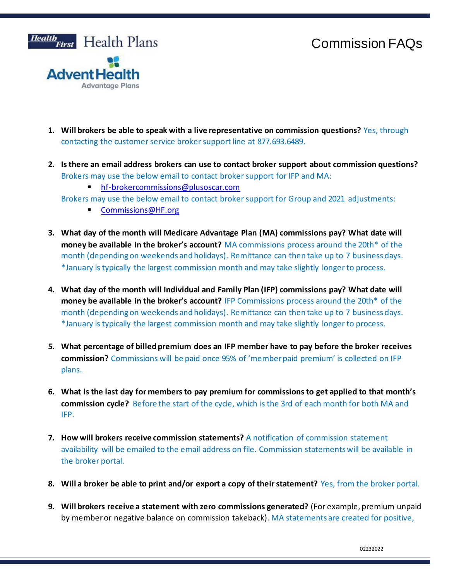## Commission FAQs



- **1. Will brokers be able to speak with a live representative on commission questions?** Yes, through contacting the customer service broker support line at 877.693.6489.
- **2. Is there an email address brokers can use to contact broker support about commission questions?**  Brokers may use the below email to contact broker support for IFP and MA:
	- <hf-brokercommissions@plusoscar.com>
	- Brokers may use the below email to contact broker support for Group and 2021 adjustments:
		- [Commissions@HF.org](mailto:Commissions@HF.org)
- **3. What day of the month will Medicare Advantage Plan (MA) commissions pay? What date will money be available in the broker's account?** MA commissions process around the 20th\* of the month (depending on weekends and holidays). Remittance can then take up to 7 business days. \*January is typically the largest commission month and may take slightly longer to process.
- **4. What day of the month will Individual and Family Plan (IFP) commissions pay? What date will money be available in the broker's account?** IFP Commissions process around the 20th\* of the month (depending on weekends and holidays). Remittance can then take up to 7 business days. \*January is typically the largest commission month and may take slightly longer to process.
- **5. What percentage of billed premium does an IFP member have to pay before the broker receives commission?** Commissions will be paid once 95% of 'member paid premium' is collected on IFP plans.
- **6. What is the last day for members to pay premium for commissions to get applied to that month's commission cycle?** Before the start of the cycle, which is the 3rd of each month for both MA and IFP.
- **7. How will brokers receive commission statements?** A notification of commission statement availability will be emailed to the email address on file. Commission statements will be available in the broker portal.
- **8. Will a broker be able to print and/or export a copy of their statement?** Yes, from the broker portal.
- **9. Will brokers receive a statement with zero commissions generated?** (For example, premium unpaid by member or negative balance on commission takeback). MA statements are created for positive,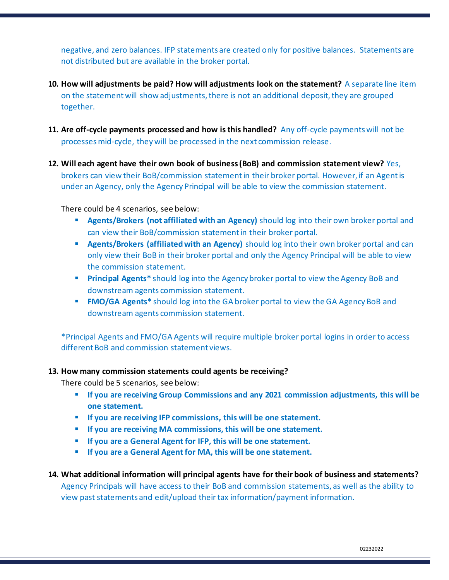negative, and zero balances. IFP statements are created only for positive balances. Statements are not distributed but are available in the broker portal.

- **10. How will adjustments be paid? How will adjustments look on the statement?** A separate line item on the statement will show adjustments, there is not an additional deposit, they are grouped together.
- **11. Are off-cycle payments processed and how is this handled?** Any off-cycle payments will not be processes mid-cycle, they will be processed in the next commission release.
- **12. Will each agent have their own book of business (BoB) and commission statement view?** Yes, brokers can view their BoB/commission statement in their broker portal. However, if an Agent is under an Agency, only the Agency Principal will be able to view the commission statement.

There could be 4 scenarios, see below:

- **EXECT:** Agents/Brokers (not affiliated with an Agency) should log into their own broker portal and can view their BoB/commission statement in their broker portal.
- **EXECT** Agents/Brokers (affiliated with an Agency) should log into their own broker portal and can only view their BoB in their broker portal and only the Agency Principal will be able to view the commission statement.
- **Principal Agents**<sup>\*</sup> should log into the Agency broker portal to view the Agency BoB and downstream agents commission statement.
- **EMO/GA Agents\*** should log into the GA broker portal to view the GA Agency BoB and downstream agents commission statement.

\*Principal Agents and FMO/GA Agents will require multiple broker portal logins in order to access different BoB and commission statement views.

## **13. How many commission statements could agents be receiving?**

There could be 5 scenarios, see below:

- If you are receiving Group Commissions and any 2021 commission adjustments, this will be **one statement.**
- If you are receiving IFP commissions, this will be one statement.
- **If you are receiving MA commissions, this will be one statement.**
- If you are a General Agent for IFP, this will be one statement.
- **If you are a General Agent for MA, this will be one statement.**

## **14. What additional information will principal agents have for their book of business and statements?**

Agency Principals will have access to their BoB and commission statements, as well as the ability to view past statements and edit/upload their tax information/payment information.